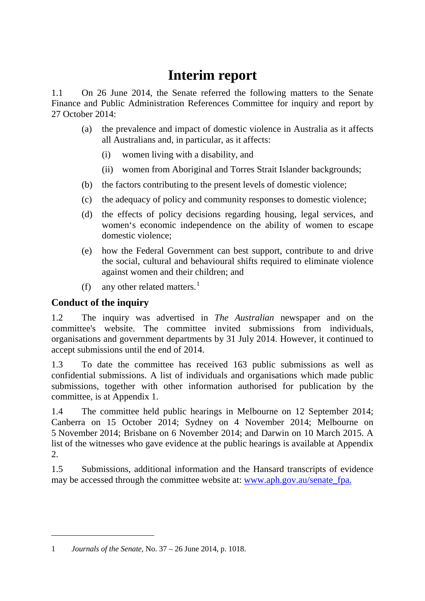# **Interim report**

1.1 On 26 June 2014, the Senate referred the following matters to the Senate Finance and Public Administration References Committee for inquiry and report by 27 October 2014:

- (a) the prevalence and impact of domestic violence in Australia as it affects all Australians and, in particular, as it affects:
	- (i) women living with a disability, and
	- (ii) women from Aboriginal and Torres Strait Islander backgrounds;
- (b) the factors contributing to the present levels of domestic violence;
- (c) the adequacy of policy and community responses to domestic violence;
- (d) the effects of policy decisions regarding housing, legal services, and women's economic independence on the ability of women to escape domestic violence;
- (e) how the Federal Government can best support, contribute to and drive the social, cultural and behavioural shifts required to eliminate violence against women and their children; and
- (f) any other related matters.<sup>[1](#page-0-0)</sup>

## **Conduct of the inquiry**

-

1.2 The inquiry was advertised in *The Australian* newspaper and on the committee's website. The committee invited submissions from individuals, organisations and government departments by 31 July 2014. However, it continued to accept submissions until the end of 2014.

1.3 To date the committee has received 163 public submissions as well as confidential submissions. A list of individuals and organisations which made public submissions, together with other information authorised for publication by the committee, is at Appendix 1.

1.4 The committee held public hearings in Melbourne on 12 September 2014; Canberra on 15 October 2014; Sydney on 4 November 2014; Melbourne on 5 November 2014; Brisbane on 6 November 2014; and Darwin on 10 March 2015. A list of the witnesses who gave evidence at the public hearings is available at Appendix 2.

1.5 Submissions, additional information and the Hansard transcripts of evidence may be accessed through the committee website at: www.aph.gov.au/senate fpa.

<span id="page-0-0"></span><sup>1</sup> *Journals of the Senate*, No. 37 – 26 June 2014, p. 1018.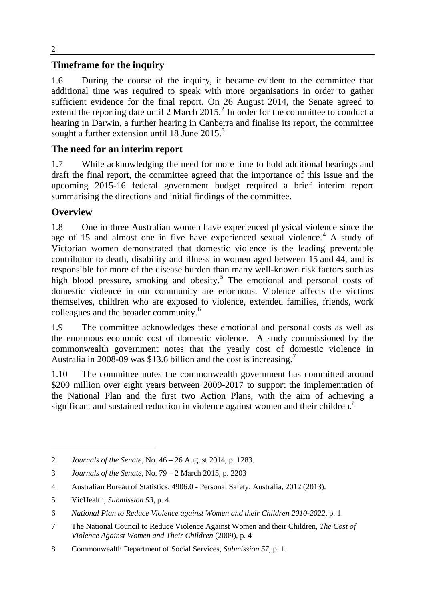## **Timeframe for the inquiry**

1.6 During the course of the inquiry, it became evident to the committee that additional time was required to speak with more organisations in order to gather sufficient evidence for the final report. On 26 August 2014, the Senate agreed to extend the reporting date until  $2$  March  $2015<sup>2</sup>$  In order for the committee to conduct a hearing in Darwin, a further hearing in Canberra and finalise its report, the committee sought a further extension until 18 June 2015. $3$ 

## **The need for an interim report**

1.7 While acknowledging the need for more time to hold additional hearings and draft the final report, the committee agreed that the importance of this issue and the upcoming 2015-16 federal government budget required a brief interim report summarising the directions and initial findings of the committee.

## **Overview**

-

1.8 One in three Australian women have experienced physical violence since the age of 15 and almost one in five have experienced sexual violence.<sup>[4](#page-1-2)</sup> A study of Victorian women demonstrated that domestic violence is the leading preventable contributor to death, disability and illness in women aged between 15 and 44, and is responsible for more of the disease burden than many well-known risk factors such as high blood pressure, smoking and obesity.<sup>[5](#page-1-3)</sup> The emotional and personal costs of domestic violence in our community are enormous. Violence affects the victims themselves, children who are exposed to violence, extended families, friends, work colleagues and the broader community. [6](#page-1-4)

1.9 The committee acknowledges these emotional and personal costs as well as the enormous economic cost of domestic violence. A study commissioned by the commonwealth government notes that the yearly cost of domestic violence in Australia in 2008-09 was \$13.6 billion and the cost is increasing.<sup>[7](#page-1-5)</sup>

1.10 The committee notes the commonwealth government has committed around \$200 million over eight years between 2009-2017 to support the implementation of the National Plan and the first two Action Plans, with the aim of achieving a significant and sustained reduction in violence against women and their children.<sup>[8](#page-1-6)</sup>

<span id="page-1-0"></span><sup>2</sup> *Journals of the Senate,* No. 46 – 26 August 2014, p. 1283.

<span id="page-1-1"></span><sup>3</sup> *Journals of the Senate*, No. 79 – 2 March 2015, p. 2203

<span id="page-1-2"></span><sup>4</sup> Australian Bureau of Statistics, 4906.0 - Personal Safety, Australia, 2012 (2013).

<span id="page-1-3"></span><sup>5</sup> VicHealth, *Submission 53*, p. 4

<span id="page-1-4"></span><sup>6</sup> *National Plan to Reduce Violence against Women and their Children 2010-2022*, p. 1.

<span id="page-1-5"></span><sup>7</sup> The National Council to Reduce Violence Against Women and their Children, *The Cost of Violence Against Women and Their Children* (2009), p. 4

<span id="page-1-6"></span><sup>8</sup> Commonwealth Department of Social Services, *Submission 57*, p. 1.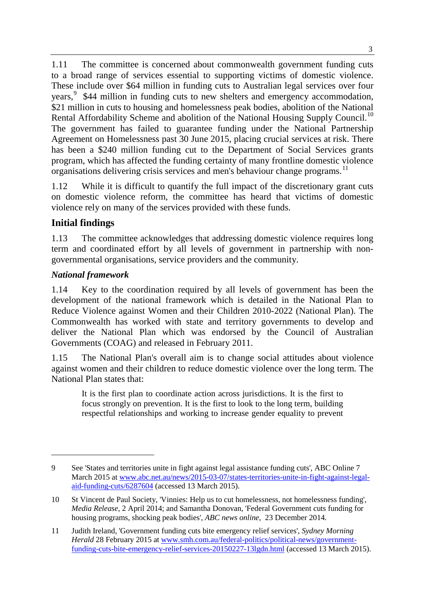1.11 The committee is concerned about commonwealth government funding cuts to a broad range of services essential to supporting victims of domestic violence. These include over \$64 million in funding cuts to Australian legal services over four years,<sup>[9](#page-2-0)</sup> \$44 million in funding cuts to new shelters and emergency accommodation, \$21 million in cuts to housing and homelessness peak bodies, abolition of the National Rental Affordability Scheme and abolition of the National Housing Supply Council.<sup>[10](#page-2-1)</sup> The government has failed to guarantee funding under the National Partnership Agreement on Homelessness past 30 June 2015, placing crucial services at risk. There has been a \$240 million funding cut to the Department of Social Services grants program, which has affected the funding certainty of many frontline domestic violence organisations delivering crisis services and men's behaviour change programs.<sup>[11](#page-2-2)</sup>

1.12 While it is difficult to quantify the full impact of the discretionary grant cuts on domestic violence reform, the committee has heard that victims of domestic violence rely on many of the services provided with these funds.

## **Initial findings**

1.13 The committee acknowledges that addressing domestic violence requires long term and coordinated effort by all levels of government in partnership with nongovernmental organisations, service providers and the community.

#### *National framework*

-

1.14 Key to the coordination required by all levels of government has been the development of the national framework which is detailed in the National Plan to Reduce Violence against Women and their Children 2010-2022 (National Plan). The Commonwealth has worked with state and territory governments to develop and deliver the National Plan which was endorsed by the Council of Australian Governments (COAG) and released in February 2011.

1.15 The National Plan's overall aim is to change social attitudes about violence against women and their children to reduce domestic violence over the long term. The National Plan states that:

It is the first plan to coordinate action across jurisdictions. It is the first to focus strongly on prevention. It is the first to look to the long term, building respectful relationships and working to increase gender equality to prevent

<span id="page-2-0"></span><sup>9</sup> See 'States and territories unite in fight against legal assistance funding cuts', ABC Online 7 March 2015 at [www.abc.net.au/news/2015-03-07/states-territories-unite-in-fight-against-legal](http://www.abc.net.au/news/2015-03-07/states-territories-unite-in-fight-against-legal-aid-funding-cuts/6287604)[aid-funding-cuts/6287604](http://www.abc.net.au/news/2015-03-07/states-territories-unite-in-fight-against-legal-aid-funding-cuts/6287604) (accessed 13 March 2015).

<span id="page-2-1"></span><sup>10</sup> St Vincent de Paul Society, 'Vinnies: Help us to cut homelessness, not homelessness funding', *Media Release*, 2 April 2014; and Samantha Donovan, 'Federal Government cuts funding for housing programs, shocking peak bodies', *ABC news online*, 23 December 2014.

<span id="page-2-2"></span><sup>11</sup> Judith Ireland, 'Government funding cuts bite emergency relief services', *Sydney Morning Herald* 28 February 2015 at [www.smh.com.au/federal-politics/political-news/government](http://www.smh.com.au/federal-politics/political-news/government-funding-cuts-bite-emergency-relief-services-20150227-13lgdn.html)[funding-cuts-bite-emergency-relief-services-20150227-13lgdn.html](http://www.smh.com.au/federal-politics/political-news/government-funding-cuts-bite-emergency-relief-services-20150227-13lgdn.html) (accessed 13 March 2015).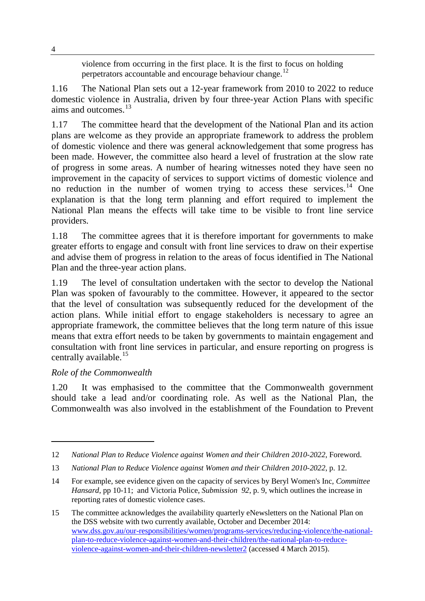violence from occurring in the first place. It is the first to focus on holding perpetrators accountable and encourage behaviour change.<sup>[12](#page-3-0)</sup>

1.16 The National Plan sets out a 12-year framework from 2010 to 2022 to reduce domestic violence in Australia, driven by four three-year Action Plans with specific aims and outcomes. $^{13}$  $^{13}$  $^{13}$ 

1.17 The committee heard that the development of the National Plan and its action plans are welcome as they provide an appropriate framework to address the problem of domestic violence and there was general acknowledgement that some progress has been made. However, the committee also heard a level of frustration at the slow rate of progress in some areas. A number of hearing witnesses noted they have seen no improvement in the capacity of services to support victims of domestic violence and no reduction in the number of women trying to access these services. [14](#page-3-2) One explanation is that the long term planning and effort required to implement the National Plan means the effects will take time to be visible to front line service providers.

1.18 The committee agrees that it is therefore important for governments to make greater efforts to engage and consult with front line services to draw on their expertise and advise them of progress in relation to the areas of focus identified in The National Plan and the three-year action plans.

1.19 The level of consultation undertaken with the sector to develop the National Plan was spoken of favourably to the committee. However, it appeared to the sector that the level of consultation was subsequently reduced for the development of the action plans. While initial effort to engage stakeholders is necessary to agree an appropriate framework, the committee believes that the long term nature of this issue means that extra effort needs to be taken by governments to maintain engagement and consultation with front line services in particular, and ensure reporting on progress is centrally available.<sup>[15](#page-3-3)</sup>

## *Role of the Commonwealth*

-

1.20 It was emphasised to the committee that the Commonwealth government should take a lead and/or coordinating role. As well as the National Plan, the Commonwealth was also involved in the establishment of the Foundation to Prevent

4

<span id="page-3-0"></span><sup>12</sup> *National Plan to Reduce Violence against Women and their Children 2010-2022*, Foreword.

<span id="page-3-1"></span><sup>13</sup> *National Plan to Reduce Violence against Women and their Children 2010-2022*, p. 12.

<span id="page-3-2"></span><sup>14</sup> For example, see evidence given on the capacity of services by Beryl Women's Inc, *Committee Hansard*, pp 10-11; and Victoria Police, *Submission 92*, p. 9, which outlines the increase in reporting rates of domestic violence cases.

<span id="page-3-3"></span><sup>15</sup> The committee acknowledges the availability quarterly eNewsletters on the National Plan on the DSS website with two currently available, October and December 2014: [www.dss.gov.au/our-responsibilities/women/programs-services/reducing-violence/the-national](http://www.dss.gov.au/our-responsibilities/women/programs-services/reducing-violence/the-national-plan-to-reduce-violence-against-women-and-their-children/the-national-plan-to-reduce-violence-against-women-and-their-children-newsletter2)[plan-to-reduce-violence-against-women-and-their-children/the-national-plan-to-reduce](http://www.dss.gov.au/our-responsibilities/women/programs-services/reducing-violence/the-national-plan-to-reduce-violence-against-women-and-their-children/the-national-plan-to-reduce-violence-against-women-and-their-children-newsletter2)[violence-against-women-and-their-children-newsletter2](http://www.dss.gov.au/our-responsibilities/women/programs-services/reducing-violence/the-national-plan-to-reduce-violence-against-women-and-their-children/the-national-plan-to-reduce-violence-against-women-and-their-children-newsletter2) (accessed 4 March 2015).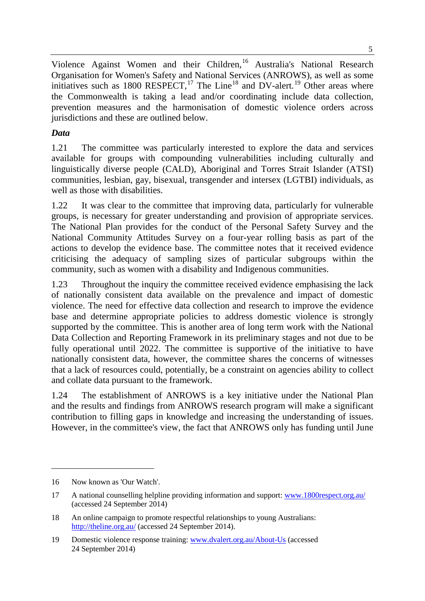Violence Against Women and their Children,<sup>[16](#page-4-0)</sup> Australia's National Research Organisation for Women's Safety and National Services (ANROWS), as well as some initiatives such as 1800 RESPECT,<sup>[17](#page-4-1)</sup> The Line<sup>[18](#page-4-2)</sup> and DV-alert.<sup>[19](#page-4-3)</sup> Other areas where the Commonwealth is taking a lead and/or coordinating include data collection, prevention measures and the harmonisation of domestic violence orders across jurisdictions and these are outlined below.

## *Data*

1.21 The committee was particularly interested to explore the data and services available for groups with compounding vulnerabilities including culturally and linguistically diverse people (CALD), Aboriginal and Torres Strait Islander (ATSI) communities, lesbian, gay, bisexual, transgender and intersex (LGTBI) individuals, as well as those with disabilities.

1.22 It was clear to the committee that improving data, particularly for vulnerable groups, is necessary for greater understanding and provision of appropriate services. The National Plan provides for the conduct of the Personal Safety Survey and the National Community Attitudes Survey on a four-year rolling basis as part of the actions to develop the evidence base. The committee notes that it received evidence criticising the adequacy of sampling sizes of particular subgroups within the community, such as women with a disability and Indigenous communities.

1.23 Throughout the inquiry the committee received evidence emphasising the lack of nationally consistent data available on the prevalence and impact of domestic violence. The need for effective data collection and research to improve the evidence base and determine appropriate policies to address domestic violence is strongly supported by the committee. This is another area of long term work with the National Data Collection and Reporting Framework in its preliminary stages and not due to be fully operational until 2022. The committee is supportive of the initiative to have nationally consistent data, however, the committee shares the concerns of witnesses that a lack of resources could, potentially, be a constraint on agencies ability to collect and collate data pursuant to the framework.

1.24 The establishment of ANROWS is a key initiative under the National Plan and the results and findings from ANROWS research program will make a significant contribution to filling gaps in knowledge and increasing the understanding of issues. However, in the committee's view, the fact that ANROWS only has funding until June

<span id="page-4-0"></span><sup>16</sup> Now known as 'Our Watch'.

<span id="page-4-1"></span><sup>17</sup> A national counselling helpline providing information and support: [www.1800respect.org.au/](http://www.1800respect.org.au/) (accessed 24 September 2014)

<span id="page-4-2"></span><sup>18</sup> An online campaign to promote respectful relationships to young Australians: <http://theline.org.au/> (accessed 24 September 2014).

<span id="page-4-3"></span><sup>19</sup> Domestic violence response training: [www.dvalert.org.au/About-Us](http://www.dvalert.org.au/About-Us) (accessed 24 September 2014)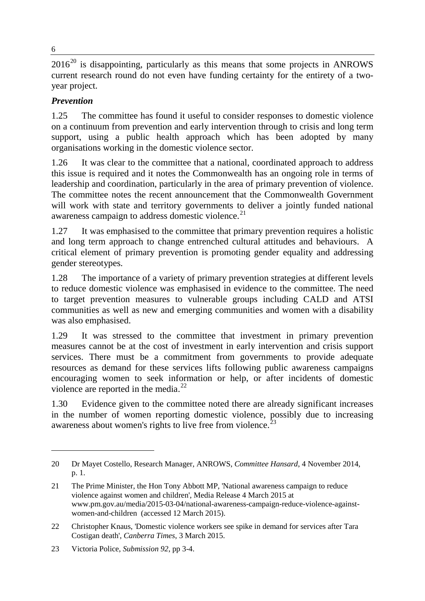$2016^{20}$  $2016^{20}$  is disappointing, particularly as this means that some projects in ANROWS current research round do not even have funding certainty for the entirety of a twoyear project.

## *Prevention*

1.25 The committee has found it useful to consider responses to domestic violence on a continuum from prevention and early intervention through to crisis and long term support, using a public health approach which has been adopted by many organisations working in the domestic violence sector.

1.26 It was clear to the committee that a national, coordinated approach to address this issue is required and it notes the Commonwealth has an ongoing role in terms of leadership and coordination, particularly in the area of primary prevention of violence. The committee notes the recent announcement that the Commonwealth Government will work with state and territory governments to deliver a jointly funded national awareness campaign to address domestic violence. $21$ 

1.27 It was emphasised to the committee that primary prevention requires a holistic and long term approach to change entrenched cultural attitudes and behaviours. A critical element of primary prevention is promoting gender equality and addressing gender stereotypes.

1.28 The importance of a variety of primary prevention strategies at different levels to reduce domestic violence was emphasised in evidence to the committee. The need to target prevention measures to vulnerable groups including CALD and ATSI communities as well as new and emerging communities and women with a disability was also emphasised.

1.29 It was stressed to the committee that investment in primary prevention measures cannot be at the cost of investment in early intervention and crisis support services. There must be a commitment from governments to provide adequate resources as demand for these services lifts following public awareness campaigns encouraging women to seek information or help, or after incidents of domestic violence are reported in the media.<sup>[22](#page-5-2)</sup>

1.30 Evidence given to the committee noted there are already significant increases in the number of women reporting domestic violence, possibly due to increasing awareness about women's rights to live free from violence.<sup>[23](#page-5-3)</sup>

<span id="page-5-0"></span><sup>20</sup> Dr Mayet Costello, Research Manager, ANROWS, *Committee Hansard*, 4 November 2014, p. 1.

<span id="page-5-1"></span><sup>21</sup> The Prime Minister, the Hon Tony Abbott MP, 'National awareness campaign to reduce violence against women and children', Media Release 4 March 2015 at www.pm.gov.au/media/2015-03-04/national-awareness-campaign-reduce-violence-againstwomen-and-children (accessed 12 March 2015).

<span id="page-5-2"></span><sup>22</sup> Christopher Knaus, 'Domestic violence workers see spike in demand for services after Tara Costigan death', *Canberra Times*, 3 March 2015.

<span id="page-5-3"></span><sup>23</sup> Victoria Police, *Submission 92*, pp 3-4.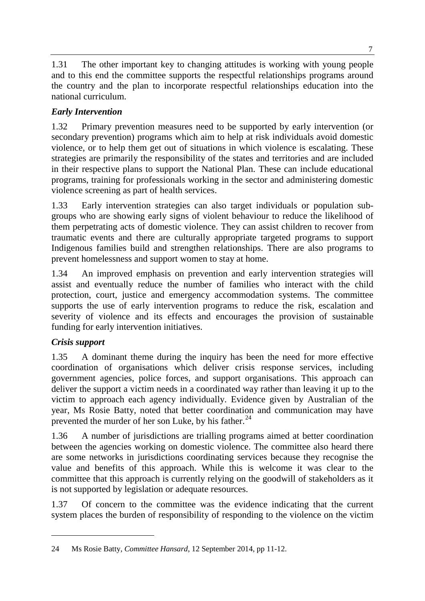1.31 The other important key to changing attitudes is working with young people and to this end the committee supports the respectful relationships programs around the country and the plan to incorporate respectful relationships education into the national curriculum.

## *Early Intervention*

1.32 Primary prevention measures need to be supported by early intervention (or secondary prevention) programs which aim to help at risk individuals avoid domestic violence, or to help them get out of situations in which violence is escalating. These strategies are primarily the responsibility of the states and territories and are included in their respective plans to support the National Plan. These can include educational programs, training for professionals working in the sector and administering domestic violence screening as part of health services.

1.33 Early intervention strategies can also target individuals or population subgroups who are showing early signs of violent behaviour to reduce the likelihood of them perpetrating acts of domestic violence. They can assist children to recover from traumatic events and there are culturally appropriate targeted programs to support Indigenous families build and strengthen relationships. There are also programs to prevent homelessness and support women to stay at home.

1.34 An improved emphasis on prevention and early intervention strategies will assist and eventually reduce the number of families who interact with the child protection, court, justice and emergency accommodation systems. The committee supports the use of early intervention programs to reduce the risk, escalation and severity of violence and its effects and encourages the provision of sustainable funding for early intervention initiatives.

## *Crisis support*

-

1.35 A dominant theme during the inquiry has been the need for more effective coordination of organisations which deliver crisis response services, including government agencies, police forces, and support organisations. This approach can deliver the support a victim needs in a coordinated way rather than leaving it up to the victim to approach each agency individually. Evidence given by Australian of the year, Ms Rosie Batty, noted that better coordination and communication may have prevented the murder of her son Luke, by his father.<sup>[24](#page-6-0)</sup>

1.36 A number of jurisdictions are trialling programs aimed at better coordination between the agencies working on domestic violence. The committee also heard there are some networks in jurisdictions coordinating services because they recognise the value and benefits of this approach. While this is welcome it was clear to the committee that this approach is currently relying on the goodwill of stakeholders as it is not supported by legislation or adequate resources.

1.37 Of concern to the committee was the evidence indicating that the current system places the burden of responsibility of responding to the violence on the victim

<span id="page-6-0"></span><sup>24</sup> Ms Rosie Batty, *Committee Hansard*, 12 September 2014, pp 11-12.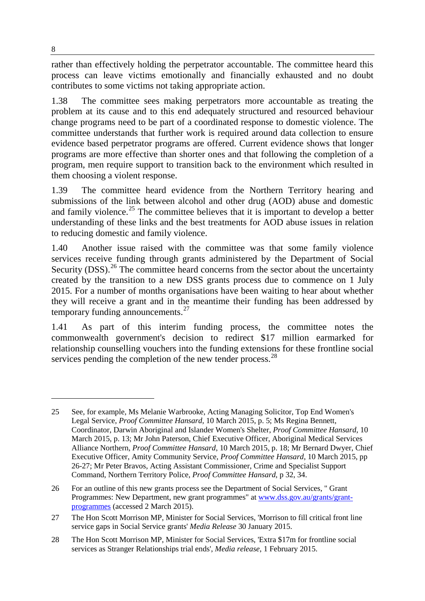rather than effectively holding the perpetrator accountable. The committee heard this process can leave victims emotionally and financially exhausted and no doubt contributes to some victims not taking appropriate action.

1.38 The committee sees making perpetrators more accountable as treating the problem at its cause and to this end adequately structured and resourced behaviour change programs need to be part of a coordinated response to domestic violence. The committee understands that further work is required around data collection to ensure evidence based perpetrator programs are offered. Current evidence shows that longer programs are more effective than shorter ones and that following the completion of a program, men require support to transition back to the environment which resulted in them choosing a violent response.

1.39 The committee heard evidence from the Northern Territory hearing and submissions of the link between alcohol and other drug (AOD) abuse and domestic and family violence.<sup>[25](#page-7-0)</sup> The committee believes that it is important to develop a better understanding of these links and the best treatments for AOD abuse issues in relation to reducing domestic and family violence.

1.40 Another issue raised with the committee was that some family violence services receive funding through grants administered by the Department of Social Security (DSS).<sup>[26](#page-7-1)</sup> The committee heard concerns from the sector about the uncertainty created by the transition to a new DSS grants process due to commence on 1 July 2015. For a number of months organisations have been waiting to hear about whether they will receive a grant and in the meantime their funding has been addressed by temporary funding announcements.<sup>[27](#page-7-2)</sup>

1.41 As part of this interim funding process, the committee notes the commonwealth government's decision to redirect \$17 million earmarked for relationship counselling vouchers into the funding extensions for these frontline social services pending the completion of the new tender process.<sup>[28](#page-7-3)</sup>

<span id="page-7-0"></span><sup>25</sup> See, for example, Ms Melanie Warbrooke, Acting Managing Solicitor, Top End Women's Legal Service, *Proof Committee Hansard*, 10 March 2015, p. 5; Ms Regina Bennett, Coordinator, Darwin Aboriginal and Islander Women's Shelter, *Proof Committee Hansard*, 10 March 2015, p. 13; Mr John Paterson, Chief Executive Officer, Aboriginal Medical Services Alliance Northern, *Proof Committee Hansard*, 10 March 2015, p. 18; Mr Bernard Dwyer, Chief Executive Officer, Amity Community Service, *Proof Committee Hansard*, 10 March 2015, pp 26-27; Mr Peter Bravos, Acting Assistant Commissioner, Crime and Specialist Support Command, Northern Territory Police, *Proof Committee Hansard*, p 32, 34.

<span id="page-7-1"></span><sup>26</sup> For an outline of this new grants process see the Department of Social Services, " Grant Programmes: New Department, new grant programmes" at [www.dss.gov.au/grants/grant](http://www.dss.gov.au/grants/grant-programmes)[programmes](http://www.dss.gov.au/grants/grant-programmes) (accessed 2 March 2015).

<span id="page-7-2"></span><sup>27</sup> The Hon Scott Morrison MP, Minister for Social Services, 'Morrison to fill critical front line service gaps in Social Service grants' *Media Release* 30 January 2015.

<span id="page-7-3"></span><sup>28</sup> The Hon Scott Morrison MP, Minister for Social Services, 'Extra \$17m for frontline social services as Stranger Relationships trial ends', *Media release*, 1 February 2015.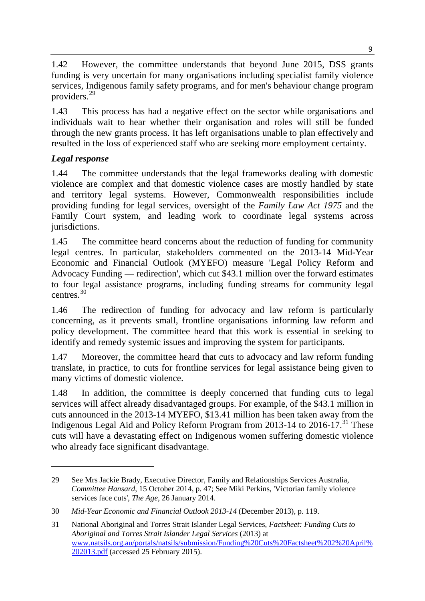1.42 However, the committee understands that beyond June 2015, DSS grants funding is very uncertain for many organisations including specialist family violence services, Indigenous family safety programs, and for men's behaviour change program providers.[29](#page-8-0)

1.43 This process has had a negative effect on the sector while organisations and individuals wait to hear whether their organisation and roles will still be funded through the new grants process. It has left organisations unable to plan effectively and resulted in the loss of experienced staff who are seeking more employment certainty.

## *Legal response*

-

1.44 The committee understands that the legal frameworks dealing with domestic violence are complex and that domestic violence cases are mostly handled by state and territory legal systems. However, Commonwealth responsibilities include providing funding for legal services, oversight of the *Family Law Act 1975* and the Family Court system, and leading work to coordinate legal systems across jurisdictions.

1.45 The committee heard concerns about the reduction of funding for community legal centres. In particular, stakeholders commented on the 2013-14 Mid-Year Economic and Financial Outlook (MYEFO) measure 'Legal Policy Reform and Advocacy Funding — redirection', which cut \$43.1 million over the forward estimates to four legal assistance programs, including funding streams for community legal centres. [30](#page-8-1)

1.46 The redirection of funding for advocacy and law reform is particularly concerning, as it prevents small, frontline organisations informing law reform and policy development. The committee heard that this work is essential in seeking to identify and remedy systemic issues and improving the system for participants.

1.47 Moreover, the committee heard that cuts to advocacy and law reform funding translate, in practice, to cuts for frontline services for legal assistance being given to many victims of domestic violence.

1.48 In addition, the committee is deeply concerned that funding cuts to legal services will affect already disadvantaged groups. For example, of the \$43.1 million in cuts announced in the 2013-14 MYEFO, \$13.41 million has been taken away from the Indigenous Legal Aid and Policy Reform Program from 2013-14 to 2016-17.<sup>[31](#page-8-2)</sup> These cuts will have a devastating effect on Indigenous women suffering domestic violence who already face significant disadvantage.

<span id="page-8-0"></span><sup>29</sup> See Mrs Jackie Brady, Executive Director, Family and Relationships Services Australia, *Committee Hansard*, 15 October 2014, p. 47; See Miki Perkins, 'Victorian family violence services face cuts', *The Age*, 26 January 2014.

<span id="page-8-1"></span><sup>30</sup> *Mid-Year Economic and Financial Outlook 2013-14* (December 2013), p. 119.

<span id="page-8-2"></span><sup>31</sup> National Aboriginal and Torres Strait Islander Legal Services, *Factsheet: Funding Cuts to Aboriginal and Torres Strait Islander Legal Services* (2013) at [www.natsils.org.au/portals/natsils/submission/Funding%20Cuts%20Factsheet%202%20April%](http://www.natsils.org.au/portals/natsils/submission/Funding%20Cuts%20Factsheet%202%20April%202013.pdf) [202013.pdf](http://www.natsils.org.au/portals/natsils/submission/Funding%20Cuts%20Factsheet%202%20April%202013.pdf) (accessed 25 February 2015).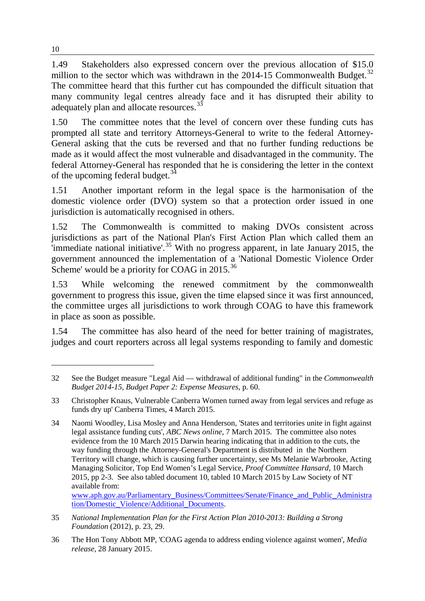1.49 Stakeholders also expressed concern over the previous allocation of \$15.0 million to the sector which was withdrawn in the  $2014-15$  Commonwealth Budget.<sup>[32](#page-9-0)</sup> The committee heard that this further cut has compounded the difficult situation that many community legal centres already face and it has disrupted their ability to adequately plan and allocate resources.<sup>[33](#page-9-1)</sup>

1.50 The committee notes that the level of concern over these funding cuts has prompted all state and territory Attorneys-General to write to the federal Attorney-General asking that the cuts be reversed and that no further funding reductions be made as it would affect the most vulnerable and disadvantaged in the community. The federal Attorney-General has responded that he is considering the letter in the context of the upcoming federal budget.<sup>[34](#page-9-2)</sup>

1.51 Another important reform in the legal space is the harmonisation of the domestic violence order (DVO) system so that a protection order issued in one jurisdiction is automatically recognised in others.

1.52 The Commonwealth is committed to making DVOs consistent across jurisdictions as part of the National Plan's First Action Plan which called them an  $\frac{1}{2}$  immediate national initiative'.<sup>[35](#page-9-3)</sup> With no progress apparent, in late January 2015, the government announced the implementation of a 'National Domestic Violence Order Scheme' would be a priority for COAG in 2015.<sup>[36](#page-9-4)</sup>

1.53 While welcoming the renewed commitment by the commonwealth government to progress this issue, given the time elapsed since it was first announced, the committee urges all jurisdictions to work through COAG to have this framework in place as soon as possible.

1.54 The committee has also heard of the need for better training of magistrates, judges and court reporters across all legal systems responding to family and domestic

tion/Domestic\_Violence/Additional\_Documents.

<span id="page-9-0"></span><sup>32</sup> See the Budget measure "Legal Aid — withdrawal of additional funding" in the *Commonwealth Budget 2014-15, Budget Paper 2: Expense Measures*, p. 60.

<span id="page-9-1"></span><sup>33</sup> Christopher Knaus, Vulnerable Canberra Women turned away from legal services and refuge as funds dry up' Canberra Times, 4 March 2015.

<span id="page-9-2"></span><sup>34</sup> Naomi Woodley, Lisa Mosley and Anna Henderson, 'States and territories unite in fight against legal assistance funding cuts', *ABC News online*, 7 March 2015. The committee also notes evidence from the 10 March 2015 Darwin hearing indicating that in addition to the cuts, the way funding through the Attorney-General's Department is distributed in the Northern Territory will change, which is causing further uncertainty, see Ms Melanie Warbrooke, Acting Managing Solicitor, Top End Women's Legal Service, *Proof Committee Hansard,* 10 March 2015, pp 2-3. See also tabled document 10, tabled 10 March 2015 by Law Society of NT available from: www.aph.gov.au/Parliamentary\_Business/Committees/Senate/Finance\_and\_Public\_Administra

<span id="page-9-3"></span><sup>35</sup> *National Implementation Plan for the First Action Plan 2010-2013: Building a Strong Foundation* (2012), p. 23, 29.

<span id="page-9-4"></span><sup>36</sup> The Hon Tony Abbott MP, 'COAG agenda to address ending violence against women', *Media release*, 28 January 2015.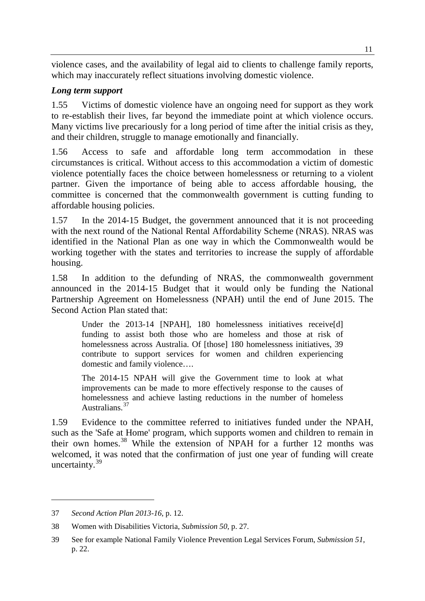violence cases, and the availability of legal aid to clients to challenge family reports, which may inaccurately reflect situations involving domestic violence.

#### *Long term support*

1.55 Victims of domestic violence have an ongoing need for support as they work to re-establish their lives, far beyond the immediate point at which violence occurs. Many victims live precariously for a long period of time after the initial crisis as they, and their children, struggle to manage emotionally and financially.

1.56 Access to safe and affordable long term accommodation in these circumstances is critical. Without access to this accommodation a victim of domestic violence potentially faces the choice between homelessness or returning to a violent partner. Given the importance of being able to access affordable housing, the committee is concerned that the commonwealth government is cutting funding to affordable housing policies.

1.57 In the 2014-15 Budget, the government announced that it is not proceeding with the next round of the National Rental Affordability Scheme (NRAS). NRAS was identified in the National Plan as one way in which the Commonwealth would be working together with the states and territories to increase the supply of affordable housing.

1.58 In addition to the defunding of NRAS, the commonwealth government announced in the 2014-15 Budget that it would only be funding the National Partnership Agreement on Homelessness (NPAH) until the end of June 2015. The Second Action Plan stated that:

Under the 2013-14 [NPAH], 180 homelessness initiatives receive[d] funding to assist both those who are homeless and those at risk of homelessness across Australia. Of [those] 180 homelessness initiatives, 39 contribute to support services for women and children experiencing domestic and family violence….

The 2014-15 NPAH will give the Government time to look at what improvements can be made to more effectively response to the causes of homelessness and achieve lasting reductions in the number of homeless Australians.[37](#page-10-0)

1.59 Evidence to the committee referred to initiatives funded under the NPAH, such as the 'Safe at Home' program, which supports women and children to remain in their own homes.<sup>[38](#page-10-1)</sup> While the extension of NPAH for a further 12 months was welcomed, it was noted that the confirmation of just one year of funding will create uncertainty.[39](#page-10-2)

<span id="page-10-0"></span><sup>37</sup> *Second Action Plan 2013-16*, p. 12.

<span id="page-10-1"></span><sup>38</sup> Women with Disabilities Victoria, *Submission 50*, p. 27.

<span id="page-10-2"></span><sup>39</sup> See for example National Family Violence Prevention Legal Services Forum, *Submission 51*, p. 22.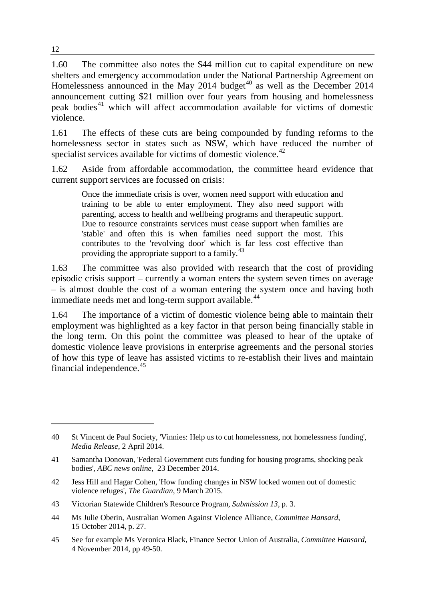1.60 The committee also notes the \$44 million cut to capital expenditure on new shelters and emergency accommodation under the National Partnership Agreement on Homelessness announced in the May 2014 budget<sup>[40](#page-11-0)</sup> as well as the December 2014 announcement cutting \$21 million over four years from housing and homelessness peak bodies<sup>[41](#page-11-1)</sup> which will affect accommodation available for victims of domestic violence.

1.61 The effects of these cuts are being compounded by funding reforms to the homelessness sector in states such as NSW, which have reduced the number of specialist services available for victims of domestic violence.<sup>[42](#page-11-2)</sup>

1.62 Aside from affordable accommodation, the committee heard evidence that current support services are focussed on crisis:

Once the immediate crisis is over, women need support with education and training to be able to enter employment. They also need support with parenting, access to health and wellbeing programs and therapeutic support. Due to resource constraints services must cease support when families are 'stable' and often this is when families need support the most. This contributes to the 'revolving door' which is far less cost effective than providing the appropriate support to a family.<sup>[43](#page-11-3)</sup>

1.63 The committee was also provided with research that the cost of providing episodic crisis support – currently a woman enters the system seven times on average – is almost double the cost of a woman entering the system once and having both immediate needs met and long-term support available.<sup>[44](#page-11-4)</sup>

1.64 The importance of a victim of domestic violence being able to maintain their employment was highlighted as a key factor in that person being financially stable in the long term. On this point the committee was pleased to hear of the uptake of domestic violence leave provisions in enterprise agreements and the personal stories of how this type of leave has assisted victims to re-establish their lives and maintain financial independence.<sup>[45](#page-11-5)</sup>

<span id="page-11-2"></span>42 Jess Hill and Hagar Cohen, 'How funding changes in NSW locked women out of domestic violence refuges', *The Guardian*, 9 March 2015.

- <span id="page-11-4"></span>44 Ms Julie Oberin, Australian Women Against Violence Alliance, *Committee Hansard*, 15 October 2014, p. 27.
- <span id="page-11-5"></span>45 See for example Ms Veronica Black, Finance Sector Union of Australia, *Committee Hansard*, 4 November 2014, pp 49-50.

<span id="page-11-0"></span><sup>40</sup> St Vincent de Paul Society, 'Vinnies: Help us to cut homelessness, not homelessness funding', *Media Release*, 2 April 2014.

<span id="page-11-1"></span><sup>41</sup> Samantha Donovan, 'Federal Government cuts funding for housing programs, shocking peak bodies', *ABC news online*, 23 December 2014.

<span id="page-11-3"></span><sup>43</sup> Victorian Statewide Children's Resource Program, *Submission 13*, p. 3.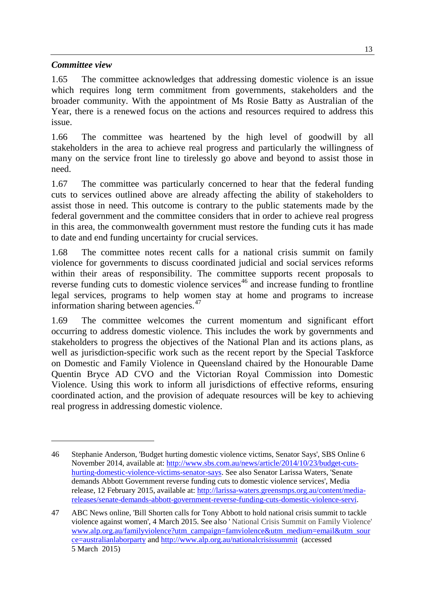#### *Committee view*

-

1.65 The committee acknowledges that addressing domestic violence is an issue which requires long term commitment from governments, stakeholders and the broader community. With the appointment of Ms Rosie Batty as Australian of the Year, there is a renewed focus on the actions and resources required to address this issue.

1.66 The committee was heartened by the high level of goodwill by all stakeholders in the area to achieve real progress and particularly the willingness of many on the service front line to tirelessly go above and beyond to assist those in need.

1.67 The committee was particularly concerned to hear that the federal funding cuts to services outlined above are already affecting the ability of stakeholders to assist those in need. This outcome is contrary to the public statements made by the federal government and the committee considers that in order to achieve real progress in this area, the commonwealth government must restore the funding cuts it has made to date and end funding uncertainty for crucial services.

1.68 The committee notes recent calls for a national crisis summit on family violence for governments to discuss coordinated judicial and social services reforms within their areas of responsibility. The committee supports recent proposals to reverse funding cuts to domestic violence services<sup> $46$ </sup> and increase funding to frontline legal services, programs to help women stay at home and programs to increase information sharing between agencies.<sup>[47](#page-12-1)</sup>

1.69 The committee welcomes the current momentum and significant effort occurring to address domestic violence. This includes the work by governments and stakeholders to progress the objectives of the National Plan and its actions plans, as well as jurisdiction-specific work such as the recent report by the Special Taskforce on Domestic and Family Violence in Queensland chaired by the Honourable Dame Quentin Bryce AD CVO and the Victorian Royal Commission into Domestic Violence. Using this work to inform all jurisdictions of effective reforms, ensuring coordinated action, and the provision of adequate resources will be key to achieving real progress in addressing domestic violence.

<span id="page-12-0"></span><sup>46</sup> Stephanie Anderson, 'Budget hurting domestic violence victims, Senator Says', SBS Online 6 November 2014, available at: [http://www.sbs.com.au/news/article/2014/10/23/budget-cuts](http://www.sbs.com.au/news/article/2014/10/23/budget-cuts-hurting-domestic-violence-victims-senator-says)[hurting-domestic-violence-victims-senator-says.](http://www.sbs.com.au/news/article/2014/10/23/budget-cuts-hurting-domestic-violence-victims-senator-says) See also Senator Larissa Waters, 'Senate demands Abbott Government reverse funding cuts to domestic violence services', Media release, 12 February 2015, available at: [http://larissa-waters.greensmps.org.au/content/media](http://larissa-waters.greensmps.org.au/content/media-releases/senate-demands-abbott-government-reverse-funding-cuts-domestic-violence-servi)[releases/senate-demands-abbott-government-reverse-funding-cuts-domestic-violence-servi.](http://larissa-waters.greensmps.org.au/content/media-releases/senate-demands-abbott-government-reverse-funding-cuts-domestic-violence-servi)

<span id="page-12-1"></span><sup>47</sup> ABC News online, 'Bill Shorten calls for Tony Abbott to hold national crisis summit to tackle violence against women', 4 March 2015. See also ' National Crisis Summit on Family Violence' [www.alp.org.au/familyviolence?utm\\_campaign=famviolence&utm\\_medium=email&utm\\_sour](http://www.alp.org.au/familyviolence?utm_campaign=famviolence&utm_medium=email&utm_source=australianlaborparty) [ce=australianlaborparty](http://www.alp.org.au/familyviolence?utm_campaign=famviolence&utm_medium=email&utm_source=australianlaborparty) and<http://www.alp.org.au/nationalcrisissummit>(accessed 5 March 2015)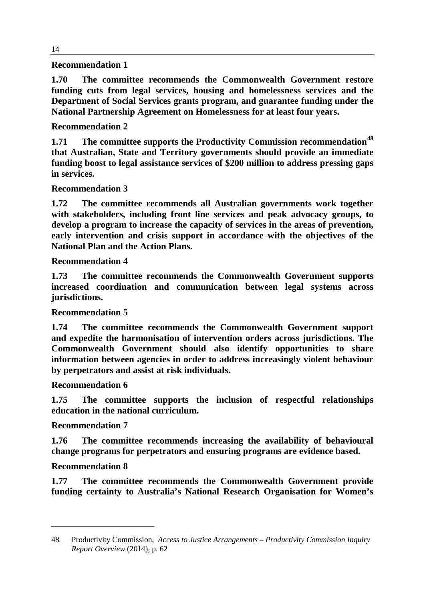#### **Recommendation 1**

**1.70 The committee recommends the Commonwealth Government restore funding cuts from legal services, housing and homelessness services and the Department of Social Services grants program, and guarantee funding under the National Partnership Agreement on Homelessness for at least four years.**

#### **Recommendation 2**

**1.71 The committee supports the Productivity Commission recommendation[48](#page-13-0) that Australian, State and Territory governments should provide an immediate funding boost to legal assistance services of \$200 million to address pressing gaps in services.**

#### **Recommendation 3**

**1.72 The committee recommends all Australian governments work together with stakeholders, including front line services and peak advocacy groups, to develop a program to increase the capacity of services in the areas of prevention, early intervention and crisis support in accordance with the objectives of the National Plan and the Action Plans.** 

#### **Recommendation 4**

**1.73 The committee recommends the Commonwealth Government supports increased coordination and communication between legal systems across jurisdictions.** 

#### **Recommendation 5**

**1.74 The committee recommends the Commonwealth Government support and expedite the harmonisation of intervention orders across jurisdictions. The Commonwealth Government should also identify opportunities to share information between agencies in order to address increasingly violent behaviour by perpetrators and assist at risk individuals.**

#### **Recommendation 6**

**1.75 The committee supports the inclusion of respectful relationships education in the national curriculum.**

#### **Recommendation 7**

**1.76 The committee recommends increasing the availability of behavioural change programs for perpetrators and ensuring programs are evidence based.** 

#### **Recommendation 8**

-

**1.77 The committee recommends the Commonwealth Government provide funding certainty to Australia's National Research Organisation for Women's** 

<span id="page-13-0"></span><sup>48</sup> Productivity Commission, *Access to Justice Arrangements – Productivity Commission Inquiry Report Overview* (2014), p. 62